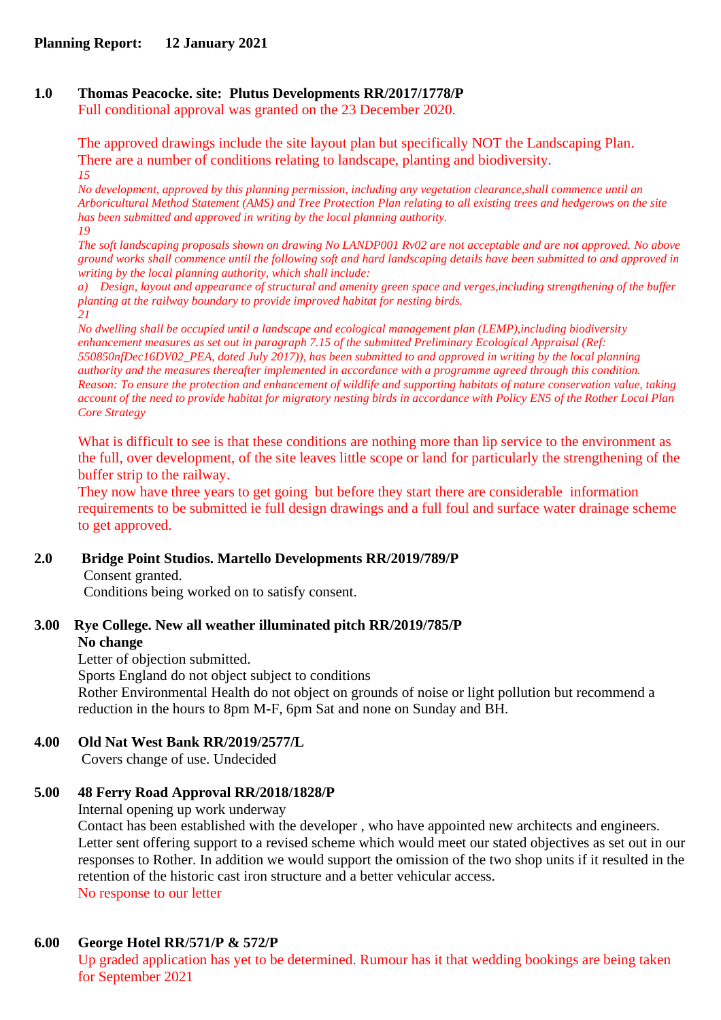# **1.0 Thomas Peacocke. site: Plutus Developments RR/2017/1778/P**

Full conditional approval was granted on the 23 December 2020.

The approved drawings include the site layout plan but specifically NOT the Landscaping Plan. There are a number of conditions relating to landscape, planting and biodiversity. *15*

*No development, approved by this planning permission, including any vegetation clearance,shall commence until an Arboricultural Method Statement (AMS) and Tree Protection Plan relating to all existing trees and hedgerows on the site has been submitted and approved in writing by the local planning authority. 19*

*The soft landscaping proposals shown on drawing No LANDP001 Rv02 are not acceptable and are not approved. No above ground works shall commence until the following soft and hard landscaping details have been submitted to and approved in writing by the local planning authority, which shall include:*

*a) Design, layout and appearance of structural and amenity green space and verges,including strengthening of the buffer planting at the railway boundary to provide improved habitat for nesting birds. 21*

*No dwelling shall be occupied until a landscape and ecological management plan (LEMP),including biodiversity enhancement measures as set out in paragraph 7.15 of the submitted Preliminary Ecological Appraisal (Ref: 550850nfDec16DV02\_PEA, dated July 2017)), has been submitted to and approved in writing by the local planning authority and the measures thereafter implemented in accordance with a programme agreed through this condition. Reason: To ensure the protection and enhancement of wildlife and supporting habitats of nature conservation value, taking account of the need to provide habitat for migratory nesting birds in accordance with Policy EN5 of the Rother Local Plan Core Strategy*

What is difficult to see is that these conditions are nothing more than lip service to the environment as the full, over development, of the site leaves little scope or land for particularly the strengthening of the buffer strip to the railway.

They now have three years to get going but before they start there are considerable information requirements to be submitted ie full design drawings and a full foul and surface water drainage scheme to get approved.

## **2.0 Bridge Point Studios. Martello Developments RR/2019/789/P**

Consent granted.

Conditions being worked on to satisfy consent.

#### **3.00 Rye College. New all weather illuminated pitch RR/2019/785/P No change**

Letter of objection submitted.

Sports England do not object subject to conditions

Rother Environmental Health do not object on grounds of noise or light pollution but recommend a reduction in the hours to 8pm M-F, 6pm Sat and none on Sunday and BH.

## **4.00 Old Nat West Bank RR/2019/2577/L**

Covers change of use. Undecided

## **5.00 48 Ferry Road Approval RR/2018/1828/P**

Internal opening up work underway

Contact has been established with the developer , who have appointed new architects and engineers. Letter sent offering support to a revised scheme which would meet our stated objectives as set out in our responses to Rother. In addition we would support the omission of the two shop units if it resulted in the retention of the historic cast iron structure and a better vehicular access. No response to our letter

## **6.00 George Hotel RR/571/P & 572/P**

Up graded application has yet to be determined. Rumour has it that wedding bookings are being taken for September 2021